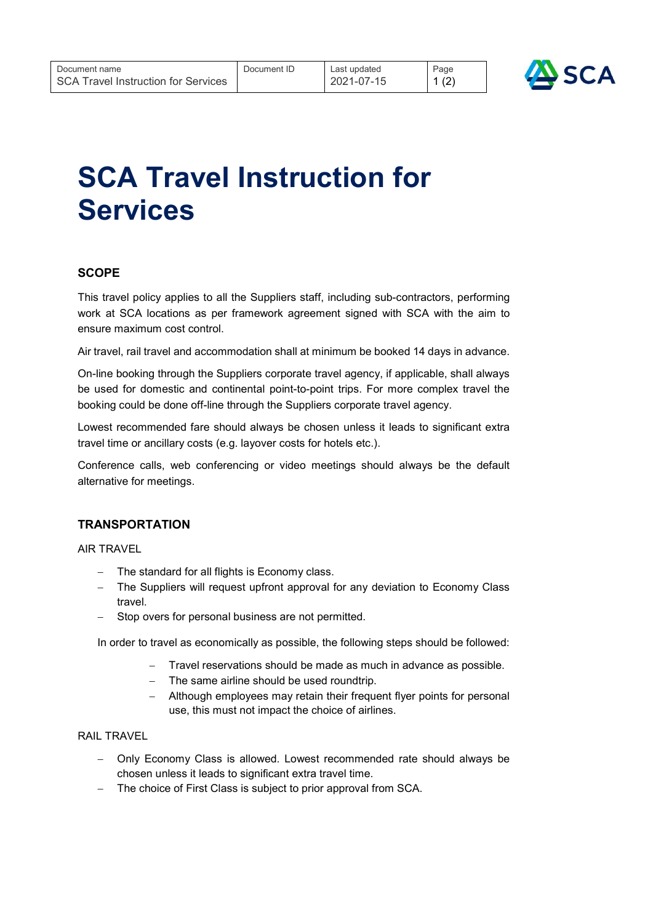

# SCA Travel Instruction for **Services**

# **SCOPE**

This travel policy applies to all the Suppliers staff, including sub-contractors, performing work at SCA locations as per framework agreement signed with SCA with the aim to ensure maximum cost control.

Air travel, rail travel and accommodation shall at minimum be booked 14 days in advance.

On-line booking through the Suppliers corporate travel agency, if applicable, shall always be used for domestic and continental point-to-point trips. For more complex travel the booking could be done off-line through the Suppliers corporate travel agency.

Lowest recommended fare should always be chosen unless it leads to significant extra travel time or ancillary costs (e.g. layover costs for hotels etc.).

Conference calls, web conferencing or video meetings should always be the default alternative for meetings.

# **TRANSPORTATION**

AIR TRAVEL

- The standard for all flights is Economy class.
- The Suppliers will request upfront approval for any deviation to Economy Class travel.
- Stop overs for personal business are not permitted.

In order to travel as economically as possible, the following steps should be followed:

- Travel reservations should be made as much in advance as possible.
- The same airline should be used roundtrip.
- Although employees may retain their frequent flyer points for personal use, this must not impact the choice of airlines.

#### RAIL TRAVEL

- Only Economy Class is allowed. Lowest recommended rate should always be chosen unless it leads to significant extra travel time.
- The choice of First Class is subject to prior approval from SCA.